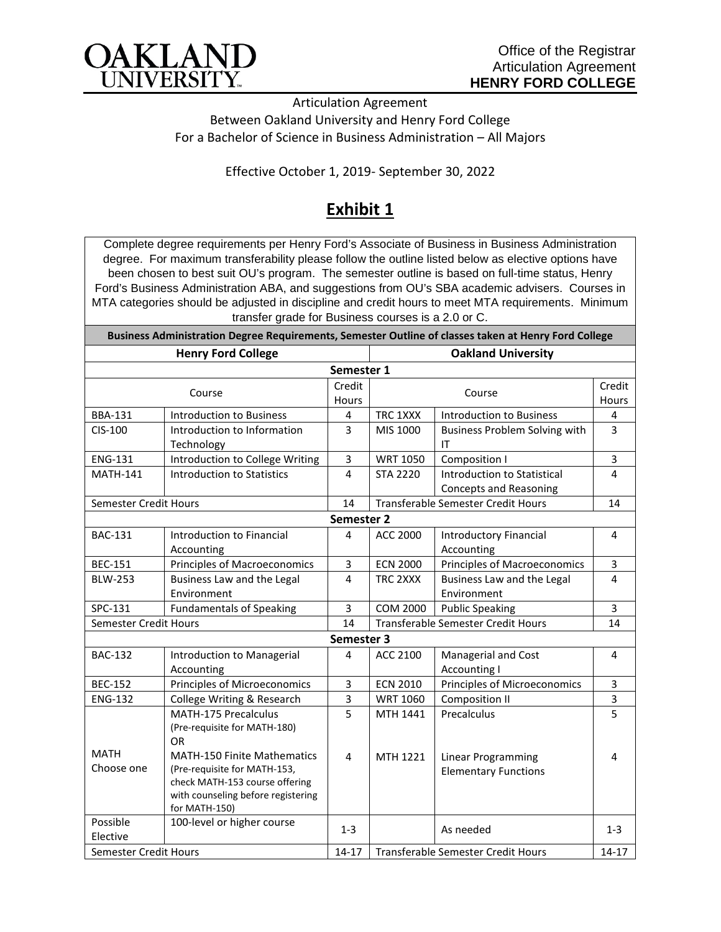

Articulation Agreement Between Oakland University and Henry Ford College For a Bachelor of Science in Business Administration – All Majors

Effective October 1, 2019- September 30, 2022

## **Exhibit 1**

Complete degree requirements per Henry Ford's Associate of Business in Business Administration degree. For maximum transferability please follow the outline listed below as elective options have been chosen to best suit OU's program. The semester outline is based on full-time status, Henry Ford's Business Administration ABA, and suggestions from OU's SBA academic advisers. Courses in MTA categories should be adjusted in discipline and credit hours to meet MTA requirements. Minimum transfer grade for Business courses is a 2.0 or C.

| Business Administration Degree Requirements, Semester Outline of classes taken at Henry Ford College |                                                                                                                                                                           |                     |                                    |                                                                  |                 |  |  |  |
|------------------------------------------------------------------------------------------------------|---------------------------------------------------------------------------------------------------------------------------------------------------------------------------|---------------------|------------------------------------|------------------------------------------------------------------|-----------------|--|--|--|
| <b>Henry Ford College</b>                                                                            |                                                                                                                                                                           |                     | <b>Oakland University</b>          |                                                                  |                 |  |  |  |
| Semester 1                                                                                           |                                                                                                                                                                           |                     |                                    |                                                                  |                 |  |  |  |
| Course                                                                                               |                                                                                                                                                                           | Credit<br>Hours     | Course                             |                                                                  | Credit<br>Hours |  |  |  |
| <b>BBA-131</b>                                                                                       | <b>Introduction to Business</b>                                                                                                                                           | 4                   | TRC 1XXX                           | <b>Introduction to Business</b>                                  | 4               |  |  |  |
| CIS-100                                                                                              | Introduction to Information<br>Technology                                                                                                                                 | 3                   | MIS 1000                           | <b>Business Problem Solving with</b><br>IT                       | 3               |  |  |  |
| <b>ENG-131</b>                                                                                       | Introduction to College Writing                                                                                                                                           | 3                   | <b>WRT 1050</b>                    | Composition I                                                    | 3               |  |  |  |
| <b>MATH-141</b>                                                                                      | <b>Introduction to Statistics</b>                                                                                                                                         | 4                   | <b>STA 2220</b>                    | <b>Introduction to Statistical</b><br>Concepts and Reasoning     | 4               |  |  |  |
| Semester Credit Hours                                                                                |                                                                                                                                                                           | 14                  | Transferable Semester Credit Hours |                                                                  | 14              |  |  |  |
| Semester 2                                                                                           |                                                                                                                                                                           |                     |                                    |                                                                  |                 |  |  |  |
| <b>BAC-131</b>                                                                                       | Introduction to Financial<br>Accounting                                                                                                                                   | 4                   | <b>ACC 2000</b>                    | <b>Introductory Financial</b><br>Accounting                      | 4               |  |  |  |
| <b>BEC-151</b>                                                                                       | <b>Principles of Macroeconomics</b>                                                                                                                                       | 3                   | <b>ECN 2000</b>                    | Principles of Macroeconomics                                     | 3               |  |  |  |
| <b>BLW-253</b>                                                                                       | Business Law and the Legal<br>Environment                                                                                                                                 | $\overline{4}$      | TRC 2XXX                           | Business Law and the Legal<br>Environment                        | 4               |  |  |  |
| SPC-131                                                                                              | <b>Fundamentals of Speaking</b>                                                                                                                                           | 3                   | <b>COM 2000</b>                    | <b>Public Speaking</b>                                           | 3               |  |  |  |
| Semester Credit Hours                                                                                |                                                                                                                                                                           | 14                  | Transferable Semester Credit Hours |                                                                  | 14              |  |  |  |
| Semester 3                                                                                           |                                                                                                                                                                           |                     |                                    |                                                                  |                 |  |  |  |
| <b>BAC-132</b>                                                                                       | Introduction to Managerial<br>Accounting                                                                                                                                  | 4                   | ACC 2100                           | Managerial and Cost<br><b>Accounting I</b>                       | $\overline{4}$  |  |  |  |
| <b>BEC-152</b>                                                                                       | Principles of Microeconomics                                                                                                                                              | 3                   | <b>ECN 2010</b>                    | Principles of Microeconomics                                     | 3               |  |  |  |
| <b>ENG-132</b>                                                                                       | College Writing & Research                                                                                                                                                | 3                   | <b>WRT 1060</b>                    | <b>Composition II</b>                                            | 3               |  |  |  |
| <b>MATH</b><br>Choose one                                                                            | MATH-175 Precalculus<br>(Pre-requisite for MATH-180)<br><b>OR</b><br><b>MATH-150 Finite Mathematics</b><br>(Pre-requisite for MATH-153,<br>check MATH-153 course offering | 5<br>$\overline{4}$ | MTH 1441<br>MTH 1221               | Precalculus<br>Linear Programming<br><b>Elementary Functions</b> | 5<br>4          |  |  |  |
|                                                                                                      | with counseling before registering<br>for MATH-150)                                                                                                                       |                     |                                    |                                                                  |                 |  |  |  |
| Possible<br>Elective                                                                                 | 100-level or higher course                                                                                                                                                | $1 - 3$             |                                    | As needed                                                        | $1 - 3$         |  |  |  |
| Semester Credit Hours                                                                                |                                                                                                                                                                           | $14 - 17$           | Transferable Semester Credit Hours |                                                                  | 14-17           |  |  |  |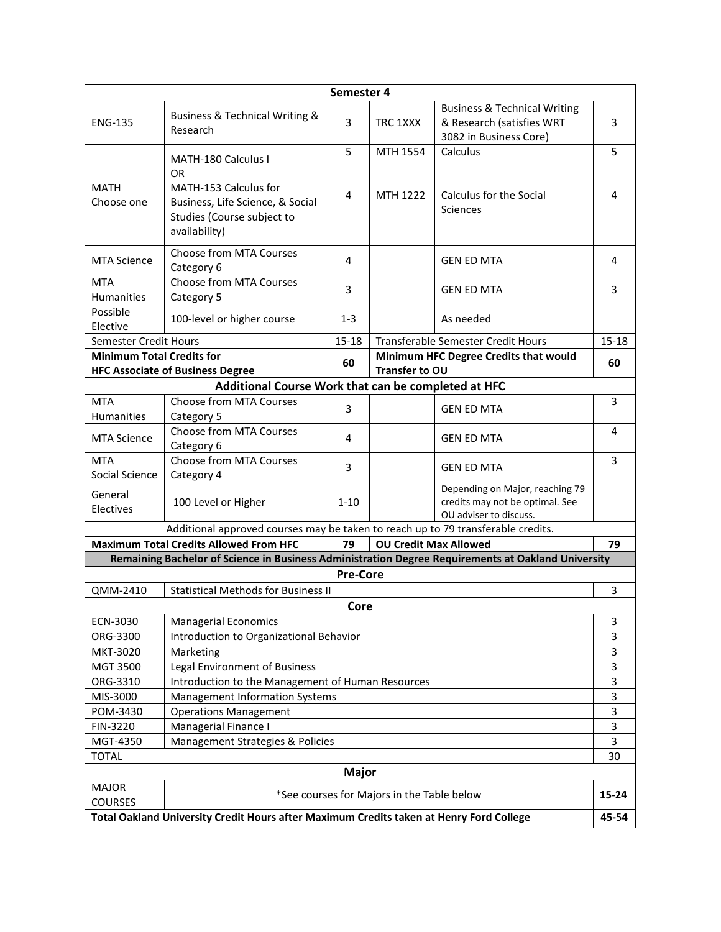| Semester 4                                                                                       |                                                                                                    |                 |                |                                         |                |  |
|--------------------------------------------------------------------------------------------------|----------------------------------------------------------------------------------------------------|-----------------|----------------|-----------------------------------------|----------------|--|
|                                                                                                  |                                                                                                    |                 |                | <b>Business &amp; Technical Writing</b> |                |  |
| <b>ENG-135</b>                                                                                   | Business & Technical Writing &<br>Research                                                         | 3               | TRC 1XXX       | & Research (satisfies WRT               | $\overline{3}$ |  |
|                                                                                                  |                                                                                                    |                 |                | 3082 in Business Core)                  |                |  |
|                                                                                                  |                                                                                                    | 5               | MTH 1554       | Calculus                                | 5              |  |
|                                                                                                  | MATH-180 Calculus I                                                                                |                 |                |                                         |                |  |
|                                                                                                  | OR.                                                                                                |                 |                |                                         |                |  |
| <b>MATH</b><br>Choose one                                                                        | MATH-153 Calculus for<br>Business, Life Science, & Social                                          | 4               | MTH 1222       | Calculus for the Social                 | 4              |  |
|                                                                                                  | Studies (Course subject to                                                                         |                 |                | <b>Sciences</b>                         |                |  |
|                                                                                                  | availability)                                                                                      |                 |                |                                         |                |  |
|                                                                                                  |                                                                                                    |                 |                |                                         |                |  |
| <b>MTA Science</b>                                                                               | Choose from MTA Courses                                                                            | 4               |                | <b>GEN ED MTA</b>                       | 4              |  |
|                                                                                                  | Category 6                                                                                         |                 |                |                                         |                |  |
| <b>MTA</b>                                                                                       | Choose from MTA Courses                                                                            | 3               |                | <b>GEN ED MTA</b>                       | 3              |  |
| <b>Humanities</b><br>Possible                                                                    | Category 5                                                                                         |                 |                |                                         |                |  |
| Elective                                                                                         | 100-level or higher course                                                                         | $1 - 3$         |                | As needed                               |                |  |
| Semester Credit Hours                                                                            |                                                                                                    | $15 - 18$       |                | Transferable Semester Credit Hours      |                |  |
| <b>Minimum Total Credits for</b>                                                                 |                                                                                                    |                 |                | Minimum HFC Degree Credits that would   |                |  |
|                                                                                                  | <b>HFC Associate of Business Degree</b>                                                            | 60              | Transfer to OU |                                         | 60             |  |
|                                                                                                  | Additional Course Work that can be completed at HFC                                                |                 |                |                                         |                |  |
| <b>MTA</b>                                                                                       | <b>Choose from MTA Courses</b>                                                                     | 3               |                | <b>GEN ED MTA</b>                       | 3              |  |
| Humanities                                                                                       | Category 5                                                                                         |                 |                |                                         |                |  |
| <b>MTA Science</b>                                                                               | Choose from MTA Courses                                                                            | 4               |                | <b>GEN ED MTA</b>                       | 4              |  |
|                                                                                                  | Category 6                                                                                         |                 |                |                                         |                |  |
| <b>MTA</b>                                                                                       | <b>Choose from MTA Courses</b>                                                                     | 3               |                | <b>GEN ED MTA</b>                       | 3              |  |
| Social Science                                                                                   | Category 4                                                                                         |                 |                | Depending on Major, reaching 79         |                |  |
| General                                                                                          | 100 Level or Higher                                                                                | $1 - 10$        |                | credits may not be optimal. See         |                |  |
| Electives                                                                                        |                                                                                                    |                 |                | OU adviser to discuss.                  |                |  |
| Additional approved courses may be taken to reach up to 79 transferable credits.                 |                                                                                                    |                 |                |                                         |                |  |
| <b>Maximum Total Credits Allowed From HFC</b><br>79<br><b>OU Credit Max Allowed</b>              |                                                                                                    |                 |                |                                         | 79             |  |
|                                                                                                  | Remaining Bachelor of Science in Business Administration Degree Requirements at Oakland University |                 |                |                                         |                |  |
|                                                                                                  |                                                                                                    | <b>Pre-Core</b> |                |                                         |                |  |
| QMM-2410<br><b>Statistical Methods for Business II</b><br>3                                      |                                                                                                    |                 |                |                                         |                |  |
| Core                                                                                             |                                                                                                    |                 |                |                                         | 3              |  |
| ECN-3030<br>ORG-3300                                                                             | <b>Managerial Economics</b><br>Introduction to Organizational Behavior                             |                 |                | 3                                       |                |  |
| MKT-3020                                                                                         | Marketing                                                                                          |                 |                | 3                                       |                |  |
| MGT 3500                                                                                         | Legal Environment of Business                                                                      |                 |                | 3                                       |                |  |
| ORG-3310                                                                                         | Introduction to the Management of Human Resources                                                  |                 |                | 3                                       |                |  |
| MIS-3000                                                                                         | Management Information Systems                                                                     |                 |                | 3                                       |                |  |
| POM-3430                                                                                         | <b>Operations Management</b>                                                                       |                 |                | 3                                       |                |  |
| FIN-3220                                                                                         | Managerial Finance I                                                                               |                 |                | 3                                       |                |  |
| MGT-4350                                                                                         | Management Strategies & Policies                                                                   |                 |                |                                         | 3              |  |
| <b>TOTAL</b><br>30                                                                               |                                                                                                    |                 |                |                                         |                |  |
| <b>Major</b>                                                                                     |                                                                                                    |                 |                |                                         |                |  |
| <b>MAJOR</b>                                                                                     |                                                                                                    |                 |                |                                         |                |  |
| *See courses for Majors in the Table below<br><b>COURSES</b>                                     |                                                                                                    |                 |                |                                         | $15 - 24$      |  |
| Total Oakland University Credit Hours after Maximum Credits taken at Henry Ford College<br>45-54 |                                                                                                    |                 |                |                                         |                |  |